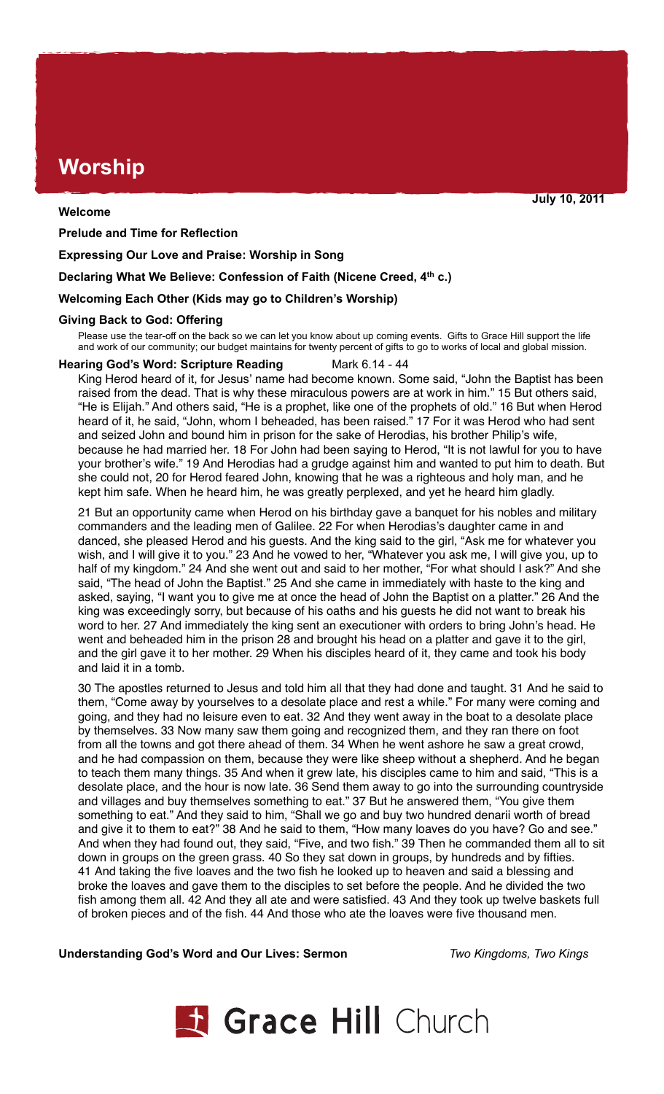# **Worship**

## **Welcome**

**Prelude and Time for Reflection**

**Expressing Our Love and Praise: Worship in Song** 

**Declaring What We Believe: Confession of Faith (Nicene Creed, 4th c.)**

## **Welcoming Each Other (Kids may go to Children's Worship)**

## **Giving Back to God: Offering**

Please use the tear-off on the back so we can let you know about up coming events. Gifts to Grace Hill support the life and work of our community; our budget maintains for twenty percent of gifts to go to works of local and global mission.

## **Hearing God's Word: Scripture Reading Mark 6.14 - 44**

King Herod heard of it, for Jesus' name had become known. Some said, "John the Baptist has been raised from the dead. That is why these miraculous powers are at work in him." 15 But others said, "He is Elijah." And others said, "He is a prophet, like one of the prophets of old." 16 But when Herod heard of it, he said, "John, whom I beheaded, has been raised." 17 For it was Herod who had sent and seized John and bound him in prison for the sake of Herodias, his brother Philip's wife, because he had married her. 18 For John had been saying to Herod, "It is not lawful for you to have your brother's wife." 19 And Herodias had a grudge against him and wanted to put him to death. But she could not, 20 for Herod feared John, knowing that he was a righteous and holy man, and he kept him safe. When he heard him, he was greatly perplexed, and yet he heard him gladly.

21 But an opportunity came when Herod on his birthday gave a banquet for his nobles and military commanders and the leading men of Galilee. 22 For when Herodias's daughter came in and danced, she pleased Herod and his guests. And the king said to the girl, "Ask me for whatever you wish, and I will give it to you." 23 And he vowed to her, "Whatever you ask me, I will give you, up to half of my kingdom." 24 And she went out and said to her mother, "For what should I ask?" And she said, "The head of John the Baptist." 25 And she came in immediately with haste to the king and asked, saying, "I want you to give me at once the head of John the Baptist on a platter." 26 And the king was exceedingly sorry, but because of his oaths and his guests he did not want to break his word to her. 27 And immediately the king sent an executioner with orders to bring John's head. He went and beheaded him in the prison 28 and brought his head on a platter and gave it to the girl, and the girl gave it to her mother. 29 When his disciples heard of it, they came and took his body and laid it in a tomb.

30 The apostles returned to Jesus and told him all that they had done and taught. 31 And he said to them, "Come away by yourselves to a desolate place and rest a while." For many were coming and going, and they had no leisure even to eat. 32 And they went away in the boat to a desolate place by themselves. 33 Now many saw them going and recognized them, and they ran there on foot from all the towns and got there ahead of them. 34 When he went ashore he saw a great crowd, and he had compassion on them, because they were like sheep without a shepherd. And he began to teach them many things. 35 And when it grew late, his disciples came to him and said, "This is a desolate place, and the hour is now late. 36 Send them away to go into the surrounding countryside and villages and buy themselves something to eat." 37 But he answered them, "You give them something to eat." And they said to him, "Shall we go and buy two hundred denarii worth of bread and give it to them to eat?" 38 And he said to them, "How many loaves do you have? Go and see." And when they had found out, they said, "Five, and two fish." 39 Then he commanded them all to sit down in groups on the green grass. 40 So they sat down in groups, by hundreds and by fifties. 41 And taking the five loaves and the two fish he looked up to heaven and said a blessing and broke the loaves and gave them to the disciples to set before the people. And he divided the two fish among them all. 42 And they all ate and were satisfied. 43 And they took up twelve baskets full of broken pieces and of the fish. 44 And those who ate the loaves were five thousand men.

## **Understanding God's Word and Our Lives: Sermon** *Two Kingdoms, Two Kings*



**July 10, 2011**